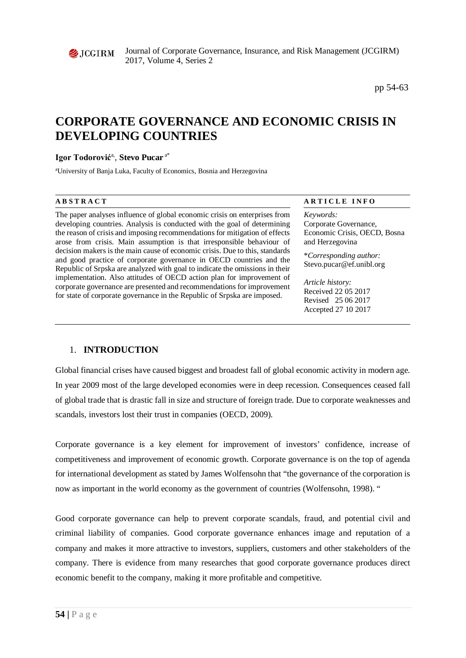

Journal of Corporate Governance, Insurance, and Risk Management (JCGIRM) 2017, Volume 4, Series 2

pp 54-63

# **CORPORATE GOVERNANCE AND ECONOMIC CRISIS IN DEVELOPING COUNTRIES**

# **Igor Todorović**a, , **Stevo Pucar** a\*

a University of Banja Luka, Faculty of Economics, Bosnia and Herzegovina

The paper analyses influence of global economic crisis on enterprises from developing countries. Analysis is conducted with the goal of determining the reason of crisis and imposing recommendations for mitigation of effects arose from crisis. Main assumption is that irresponsible behaviour of decision makers is the main cause of economic crisis. Due to this, standards and good practice of corporate governance in OECD countries and the Republic of Srpska are analyzed with goal to indicate the omissions in their implementation. Also attitudes of OECD action plan for improvement of corporate governance are presented and recommendations for improvement for state of corporate governance in the Republic of Srpska are imposed.

#### **A B S T R A C T A R T I C L E I N F O**

*Keywords:* Corporate Governance, Economic Crisis, OECD, Bosna and Herzegovina

\**Corresponding author:*  Stevo.pucar@ef.unibl.org

*Article history:*  Received 22 05 2017 Revised 25 06 2017 Accepted 27 10 2017

# 1. **INTRODUCTION**

Global financial crises have caused biggest and broadest fall of global economic activity in modern age. In year 2009 most of the large developed economies were in deep recession. Consequences ceased fall of global trade that is drastic fall in size and structure of foreign trade. Due to corporate weaknesses and scandals, investors lost their trust in companies (OECD, 2009).

Corporate governance is a key element for improvement of investors' confidence, increase of competitiveness and improvement of economic growth. Corporate governance is on the top of agenda for international development as stated by James Wolfensohn that "the governance of the corporation is now as important in the world economy as the government of countries (Wolfensohn, 1998). "

Good corporate governance can help to prevent corporate scandals, fraud, and potential civil and criminal liability of companies. Good corporate governance enhances image and reputation of a company and makes it more attractive to investors, suppliers, customers and other stakeholders of the company. There is evidence from many researches that good corporate governance produces direct economic benefit to the company, making it more profitable and competitive.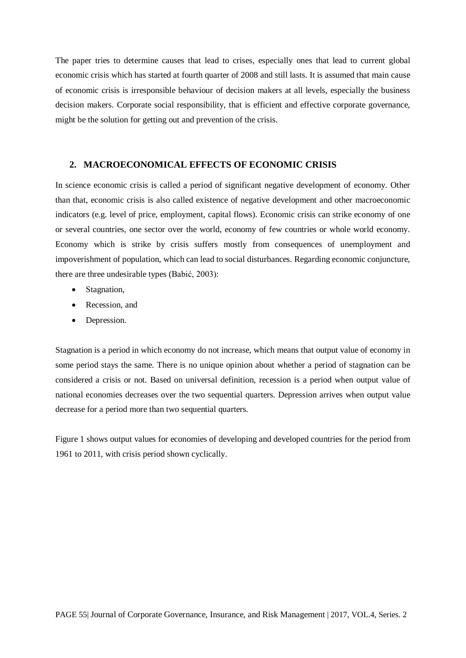The paper tries to determine causes that lead to crises, especially ones that lead to current global economic crisis which has started at fourth quarter of 2008 and still lasts. It is assumed that main cause of economic crisis is irresponsible behaviour of decision makers at all levels, especially the business decision makers. Corporate social responsibility, that is efficient and effective corporate governance, might be the solution for getting out and prevention of the crisis.

#### **2. MACROECONOMICAL EFFECTS OF ECONOMIC CRISIS**

In science economic crisis is called a period of significant negative development of economy. Other than that, economic crisis is also called existence of negative development and other macroeconomic indicators (e.g. level of price, employment, capital flows). Economic crisis can strike economy of one or several countries, one sector over the world, economy of few countries or whole world economy. Economy which is strike by crisis suffers mostly from consequences of unemployment and impoverishment of population, which can lead to social disturbances. Regarding economic conjuncture, there are three undesirable types (Babić, 2003):

- Stagnation,
- Recession, and
- Depression.

Stagnation is a period in which economy do not increase, which means that output value of economy in some period stays the same. There is no unique opinion about whether a period of stagnation can be considered a crisis or not. Based on universal definition, recession is a period when output value of national economies decreases over the two sequential quarters. Depression arrives when output value decrease for a period more than two sequential quarters.

Figure 1 shows output values for economies of developing and developed countries for the period from 1961 to 2011, with crisis period shown cyclically.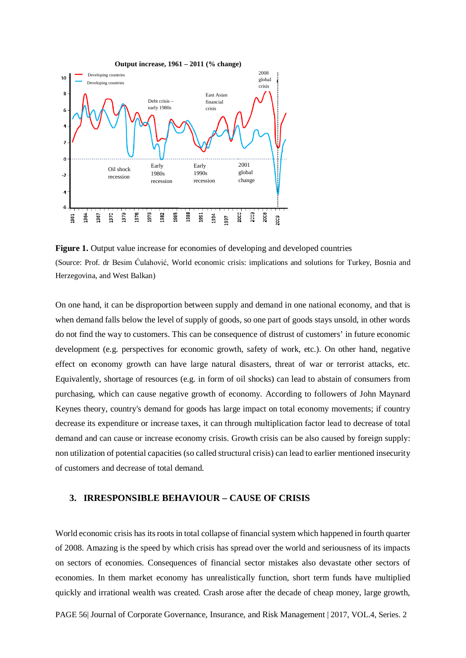

**Figure 1.** Output value increase for economies of developing and developed countries (Source: Prof. dr Besim Ćulahović, World economic crisis: implications and solutions for Turkey, Bosnia and Herzegovina, and West Balkan)

On one hand, it can be disproportion between supply and demand in one national economy, and that is when demand falls below the level of supply of goods, so one part of goods stays unsold, in other words do not find the way to customers. This can be consequence of distrust of customers' in future economic development (e.g. perspectives for economic growth, safety of work, etc.). On other hand, negative effect on economy growth can have large natural disasters, threat of war or terrorist attacks, etc. Equivalently, shortage of resources (e.g. in form of oil shocks) can lead to abstain of consumers from purchasing, which can cause negative growth of economy. According to followers of John Maynard Keynes theory, country's demand for goods has large impact on total economy movements; if country decrease its expenditure or increase taxes, it can through multiplication factor lead to decrease of total demand and can cause or increase economy crisis. Growth crisis can be also caused by foreign supply: non utilization of potential capacities (so called structural crisis) can lead to earlier mentioned insecurity of customers and decrease of total demand.

#### **3. IRRESPONSIBLE BEHAVIOUR – CAUSE OF CRISIS**

World economic crisis has its roots in total collapse of financial system which happened in fourth quarter of 2008. Amazing is the speed by which crisis has spread over the world and seriousness of its impacts on sectors of economies. Consequences of financial sector mistakes also devastate other sectors of economies. In them market economy has unrealistically function, short term funds have multiplied quickly and irrational wealth was created. Crash arose after the decade of cheap money, large growth,

PAGE 56| Journal of Corporate Governance, Insurance, and Risk Management | 2017, VOL.4, Series. 2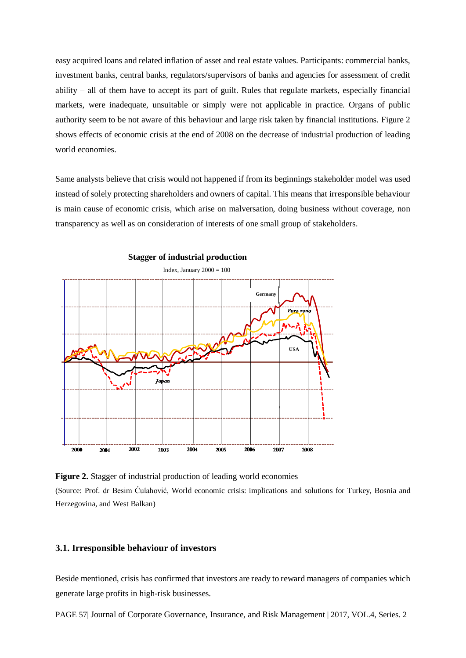easy acquired loans and related inflation of asset and real estate values. Participants: commercial banks, investment banks, central banks, regulators/supervisors of banks and agencies for assessment of credit ability – all of them have to accept its part of guilt. Rules that regulate markets, especially financial markets, were inadequate, unsuitable or simply were not applicable in practice. Organs of public authority seem to be not aware of this behaviour and large risk taken by financial institutions. Figure 2 shows effects of economic crisis at the end of 2008 on the decrease of industrial production of leading world economies.

Same analysts believe that crisis would not happened if from its beginnings stakeholder model was used instead of solely protecting shareholders and owners of capital. This means that irresponsible behaviour is main cause of economic crisis, which arise on malversation, doing business without coverage, non transparency as well as on consideration of interests of one small group of stakeholders.



**Stagger of industrial production**

**Figure 2.** Stagger of industrial production of leading world economies (Source: Prof. dr Besim Ćulahović, World economic crisis: implications and solutions for Turkey, Bosnia and Herzegovina, and West Balkan)

#### **3.1. Irresponsible behaviour of investors**

Beside mentioned, crisis has confirmed that investors are ready to reward managers of companies which generate large profits in high-risk businesses.

PAGE 57| Journal of Corporate Governance, Insurance, and Risk Management | 2017, VOL.4, Series. 2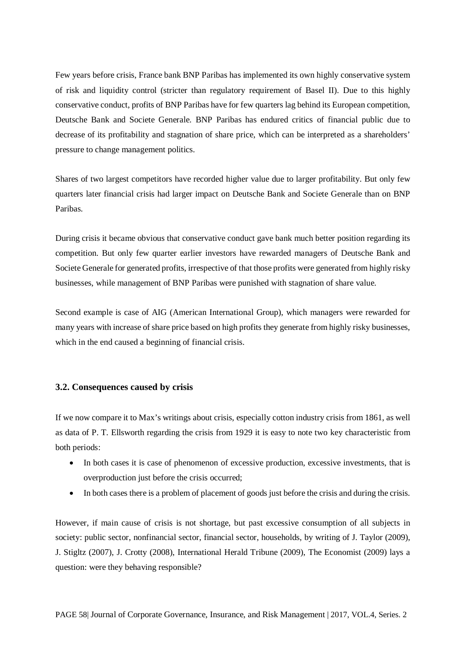Few years before crisis, France bank BNP Paribas has implemented its own highly conservative system of risk and liquidity control (stricter than regulatory requirement of Basel II). Due to this highly conservative conduct, profits of BNP Paribas have for few quarters lag behind its European competition, Deutsche Bank and Societe Generale. BNP Paribas has endured critics of financial public due to decrease of its profitability and stagnation of share price, which can be interpreted as a shareholders' pressure to change management politics.

Shares of two largest competitors have recorded higher value due to larger profitability. But only few quarters later financial crisis had larger impact on Deutsche Bank and Societe Generale than on BNP Paribas.

During crisis it became obvious that conservative conduct gave bank much better position regarding its competition. But only few quarter earlier investors have rewarded managers of Deutsche Bank and Societe Generale for generated profits, irrespective of that those profits were generated from highly risky businesses, while management of BNP Paribas were punished with stagnation of share value.

Second example is case of AIG (American International Group), which managers were rewarded for many years with increase of share price based on high profits they generate from highly risky businesses, which in the end caused a beginning of financial crisis.

### **3.2. Consequences caused by crisis**

If we now compare it to Max's writings about crisis, especially cotton industry crisis from 1861, as well as data of P. T. Ellsworth regarding the crisis from 1929 it is easy to note two key characteristic from both periods:

- In both cases it is case of phenomenon of excessive production, excessive investments, that is overproduction just before the crisis occurred;
- In both cases there is a problem of placement of goods just before the crisis and during the crisis.

However, if main cause of crisis is not shortage, but past excessive consumption of all subjects in society: public sector, nonfinancial sector, financial sector, households, by writing of J. Taylor (2009), J. Stigltz (2007), J. Crotty (2008), International Herald Tribune (2009), The Economist (2009) lays a question: were they behaving responsible?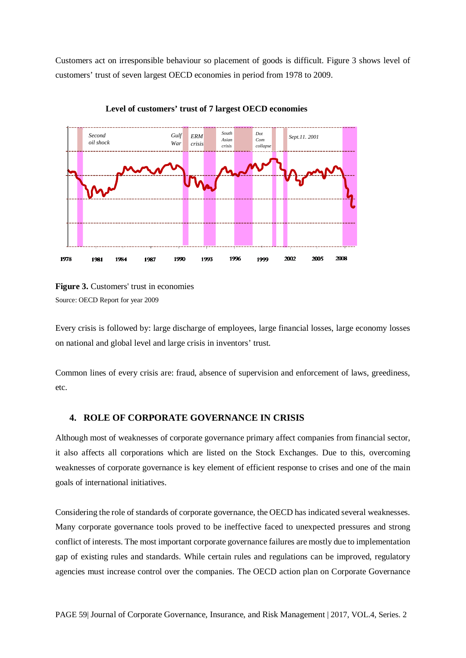Customers act on irresponsible behaviour so placement of goods is difficult. Figure 3 shows level of customers' trust of seven largest OECD economies in period from 1978 to 2009.



**Level of customers' trust of 7 largest OECD economies**

Every crisis is followed by: large discharge of employees, large financial losses, large economy losses on national and global level and large crisis in inventors' trust.

Common lines of every crisis are: fraud, absence of supervision and enforcement of laws, greediness, etc.

# **4. ROLE OF CORPORATE GOVERNANCE IN CRISIS**

Although most of weaknesses of corporate governance primary affect companies from financial sector, it also affects all corporations which are listed on the Stock Exchanges. Due to this, overcoming weaknesses of corporate governance is key element of efficient response to crises and one of the main goals of international initiatives.

Considering the role of standards of corporate governance, the OECD has indicated several weaknesses. Many corporate governance tools proved to be ineffective faced to unexpected pressures and strong conflict of interests. The most important corporate governance failures are mostly due to implementation gap of existing rules and standards. While certain rules and regulations can be improved, regulatory agencies must increase control over the companies. The OECD action plan on Corporate Governance

**Figure 3.** Customers' trust in economies Source: OECD Report for year 2009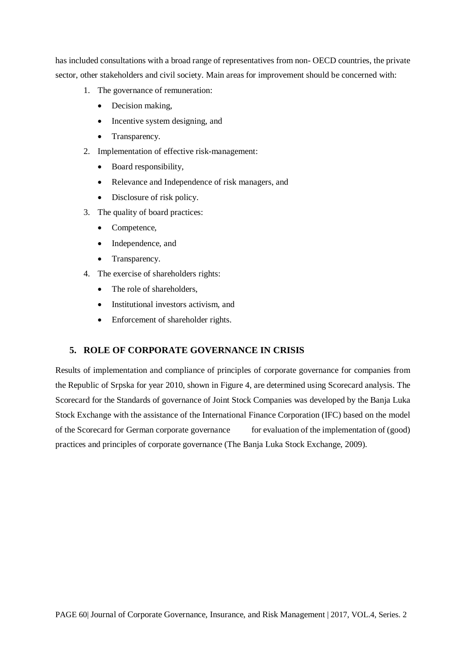has included consultations with a broad range of representatives from non- OECD countries, the private sector, other stakeholders and civil society. Main areas for improvement should be concerned with:

- 1. The governance of remuneration:
	- Decision making,
	- Incentive system designing, and
	- Transparency.
- 2. Implementation of effective risk-management:
	- Board responsibility,
	- Relevance and Independence of risk managers, and
	- Disclosure of risk policy.
- 3. The quality of board practices:
	- Competence,
	- Independence, and
	- Transparency.
- 4. The exercise of shareholders rights:
	- The role of shareholders,
	- Institutional investors activism, and
	- Enforcement of shareholder rights.

# **5. ROLE OF CORPORATE GOVERNANCE IN CRISIS**

Results of implementation and compliance of principles of corporate governance for companies from the Republic of Srpska for year 2010, shown in Figure 4, are determined using Scorecard analysis. The Scorecard for the Standards of governance of Joint Stock Companies was developed by the Banja Luka Stock Exchange with the assistance of the International Finance Corporation (IFC) based on the model of the Scorecard for German corporate governance for evaluation of the implementation of (good) practices and principles of corporate governance (The Banja Luka Stock Exchange, 2009).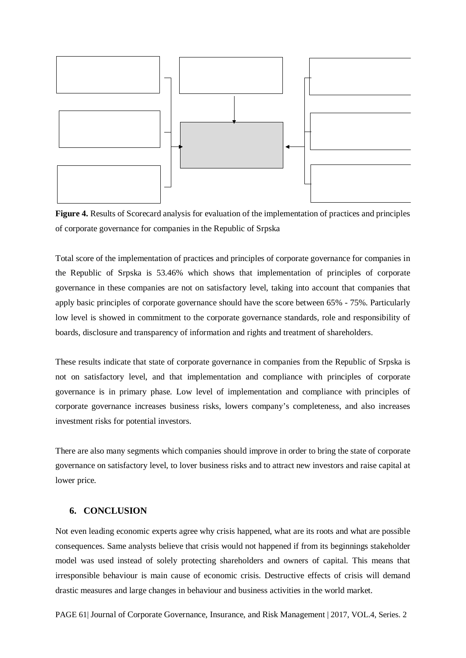

**Figure 4.** Results of Scorecard analysis for evaluation of the implementation of practices and principles of corporate governance for companies in the Republic of Srpska

Total score of the implementation of practices and principles of corporate governance for companies in the Republic of Srpska is 53.46% which shows that implementation of principles of corporate governance in these companies are not on satisfactory level, taking into account that companies that apply basic principles of corporate governance should have the score between 65% - 75%. Particularly low level is showed in commitment to the corporate governance standards, role and responsibility of boards, disclosure and transparency of information and rights and treatment of shareholders.

These results indicate that state of corporate governance in companies from the Republic of Srpska is not on satisfactory level, and that implementation and compliance with principles of corporate governance is in primary phase. Low level of implementation and compliance with principles of corporate governance increases business risks, lowers company's completeness, and also increases investment risks for potential investors.

There are also many segments which companies should improve in order to bring the state of corporate governance on satisfactory level, to lover business risks and to attract new investors and raise capital at lower price.

# **6. CONCLUSION**

Not even leading economic experts agree why crisis happened, what are its roots and what are possible consequences. Same analysts believe that crisis would not happened if from its beginnings stakeholder model was used instead of solely protecting shareholders and owners of capital. This means that irresponsible behaviour is main cause of economic crisis. Destructive effects of crisis will demand drastic measures and large changes in behaviour and business activities in the world market.

PAGE 61| Journal of Corporate Governance, Insurance, and Risk Management | 2017, VOL.4, Series. 2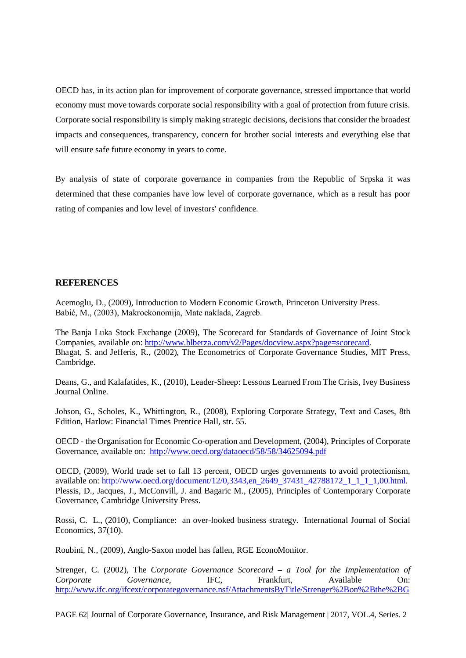OECD has, in its action plan for improvement of corporate governance, stressed importance that world economy must move towards corporate social responsibility with a goal of protection from future crisis. Corporate social responsibility is simply making strategic decisions, decisions that consider the broadest impacts and consequences, transparency, concern for brother social interests and everything else that will ensure safe future economy in years to come.

By analysis of state of corporate governance in companies from the Republic of Srpska it was determined that these companies have low level of corporate governance, which as a result has poor rating of companies and low level of investors' confidence.

## **REFERENCES**

Acemoglu, D., (2009), Introduction to Modern Economic Growth, Princeton University Press. Babić, M., (2003), Makroekonomija, Mate naklada, Zagreb.

The Banja Luka Stock Exchange (2009), The Scorecard for Standards of Governance of Joint Stock Companies, available on: [http://www.blberza.com/v2/Pages/docview.aspx?page=scorecard.](http://www.blberza.com/v2/Pages/docview.aspx?page=scorecard) Bhagat, S. and Jefferis, R., (2002), The Econometrics of Corporate Governance Studies, MIT Press, Cambridge.

Deans, G., and Kalafatides, K., (2010), Leader-Sheep: Lessons Learned From The Crisis, Ivey Business Journal Online.

Johson, G., Scholes, K., Whittington, R., (2008), Exploring Corporate Strategy, Text and Cases, 8th Edition, Harlow: Financial Times Prentice Hall, str. 55.

OECD - the Organisation for Economic Co-operation and Development, (2004), Principles of Corporate Governance, available on: <http://www.oecd.org/dataoecd/58/58/34625094.pdf>

OECD, (2009), World trade set to fall 13 percent, OECD urges governments to avoid protectionism, available on: [http://www.oecd.org/document/12/0,3343,en\\_2649\\_37431\\_42788172\\_1\\_1\\_1\\_1,00.html.](http://www.oecd.org/document/12/0,3343,en_2649_37431_42788172_1_1_1_1,00.html) Plessis, D., Jacques, J., McConvill, J. and Bagaric M., (2005), Principles of Contemporary Corporate Governance, Cambridge University Press.

Rossi, C. L., (2010), Compliance: an over-looked business strategy. International Journal of Social Economics, 37(10).

Roubini, N., (2009), Anglo-Saxon model has fallen, RGE EconoMonitor.

Strenger, C. (2002), The *Corporate Governance Scorecard – a Tool for the Implementation of Corporate Governance*, IFC, Frankfurt, Available On: [http://www.ifc.org/ifcext/corporategovernance.nsf/AttachmentsByTitle/Strenger%2Bon%2Bthe%2BG](http://www.ifc.org/ifcext/corporategovernance.nsf/AttachmentsByTitle/Strenger%2Bon%2Bthe%2BGerman%2BCorGov%2BScorecard.pdf/$FILE/Strenger%2Bon%2Bthe%2BGerman%2BCorGov%2BScorecard.pdf)

PAGE 62| Journal of Corporate Governance, Insurance, and Risk Management | 2017, VOL.4, Series. 2